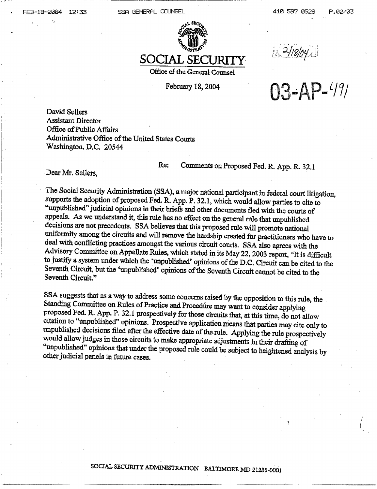FEB-18-2004 12:33 SSR GENERAL COUNSEL 410 597 0528 P.02/03





Office of the General Counsel

February 18, 2004

 $\frac{2/18/04}{103 - AP - 49/1}$ 

David Sellers Assistant Director Office of Public Affairs Administrative Office of the United States Courts Washington, D.C. 20544

Re: Comments on Proposed Fed. R. App. R. 32.1 Dear Mr. Sellers,

The Social Security Administration (SSA), a major national participant in federal court litigation, supports the adoption of proposed Fed. R. App. P. 32.1, which would allow parties to cite to "unpublished" judicial opinio decisions are not precedents. SSA believes that this proposed rule will promote national uniformity among the circuits and will remove the hardship created for practitioners who have to deal with conflicting practices amon Seventh Circuit, but the 'unpublished' opinions of the Seventh Circuit cannot be cited to the Seventh Circuit,"

SSA suggests that as a way to address some concerns raised by the opposition to this rule, the Standing Committee on Rules of Practice and Procedure may want to consider applying proposed Fed. R. App. P. 32.1 prospectively